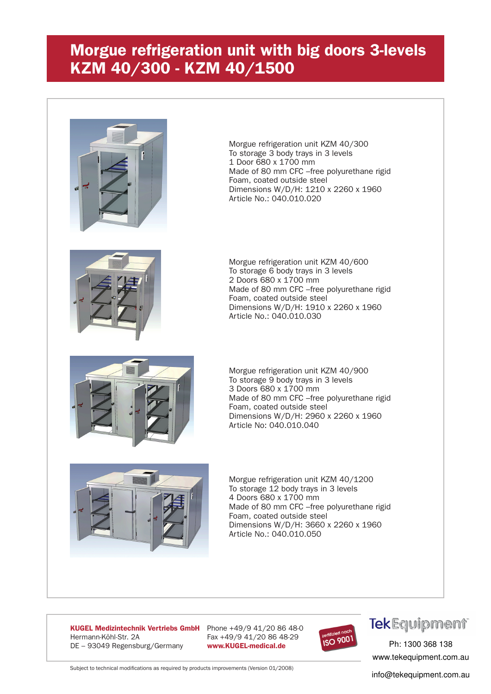### **Morgue refrigeration unit with big doors 3-levels KZM 40/300 - KZM 40/1500**



Morgue refrigeration unit KZM 40/300 To storage 3 body trays in 3 levels 1 Door 680 x 1700 mm Made of 80 mm CFC –free polyurethane rigid Foam, coated outside steel Dimensions W/D/H: 1210 x 2260 x 1960 Article No.: 040.010.020



Morgue refrigeration unit KZM 40/600 To storage 6 body trays in 3 levels 2 Doors 680 x 1700 mm Made of 80 mm CFC –free polyurethane rigid Foam, coated outside steel Dimensions W/D/H: 1910 x 2260 x 1960 Article No.: 040.010.030



Morgue refrigeration unit KZM 40/900 To storage 9 body trays in 3 levels 3 Doors 680 x 1700 mm Made of 80 mm CFC –free polyurethane rigid Foam, coated outside steel Dimensions W/D/H: 2960 x 2260 x 1960 Article No: 040.010.040



Morgue refrigeration unit KZM 40/1200 To storage 12 body trays in 3 levels 4 Doors 680 x 1700 mm Made of 80 mm CFC –free polyurethane rigid Foam, coated outside steel Dimensions W/D/H: 3660 x 2260 x 1960 Article No.: 040.010.050

**KUGEL Medizintechnik Vertriebs GmbH** Phone +49/9 41/20 86 48-0 Hermann-Köhl-Str. 2A Fax +49/9 41/20 86 48-29 DE – 93049 Regensburg/Germany **www.KUGEL-medical.de**



# **Tek**Equipment®

*medical* Ph: 1300 368 138 www.tekequipment.com.au

Subject to technical modifications as required by products improvements (Version 01/2008)

info@tekequipment.com.au